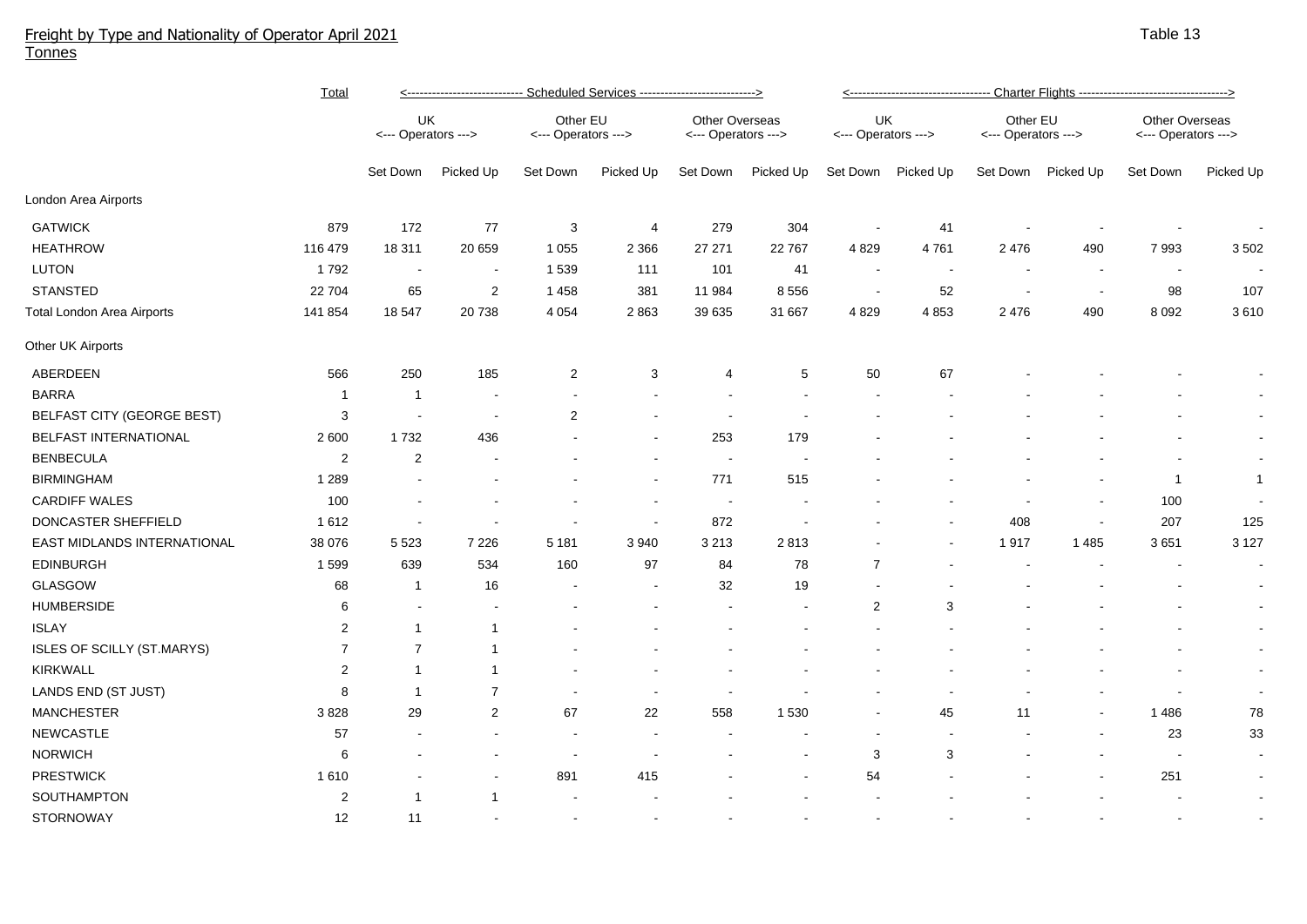## Freight by Type and Nationality of Operator April 2021 Tonnes

|                                   | <b>Total</b>            | <----------------------------- Scheduled Services ----------------------------> |                |                                 |           |                                              |           | <----------------------------------- Charter Flights ---------------------------------> |           |                                 |                          |                                       |              |  |
|-----------------------------------|-------------------------|---------------------------------------------------------------------------------|----------------|---------------------------------|-----------|----------------------------------------------|-----------|-----------------------------------------------------------------------------------------|-----------|---------------------------------|--------------------------|---------------------------------------|--------------|--|
|                                   |                         | UK<br><--- Operators --->                                                       |                | Other EU<br><--- Operators ---> |           | <b>Other Overseas</b><br><--- Operators ---> |           | UK<br><--- Operators --->                                                               |           | Other EU<br><--- Operators ---> |                          | Other Overseas<br><--- Operators ---> |              |  |
|                                   |                         | Set Down                                                                        | Picked Up      | Set Down                        | Picked Up | Set Down                                     | Picked Up | Set Down                                                                                | Picked Up | Set Down                        | Picked Up                | Set Down                              | Picked Up    |  |
| London Area Airports              |                         |                                                                                 |                |                                 |           |                                              |           |                                                                                         |           |                                 |                          |                                       |              |  |
| <b>GATWICK</b>                    | 879                     | 172                                                                             | 77             | 3                               | 4         | 279                                          | 304       | $\overline{\phantom{a}}$                                                                | 41        |                                 |                          |                                       |              |  |
| <b>HEATHROW</b>                   | 116 479                 | 18 311                                                                          | 20 659         | 1 0 5 5                         | 2 3 6 6   | 27 27 1                                      | 22 767    | 4829                                                                                    | 4761      | 2 4 7 6                         | 490                      | 7993                                  | 3 5 0 2      |  |
| <b>LUTON</b>                      | 1792                    | $\sim$                                                                          | $\blacksquare$ | 1 5 3 9                         | 111       | 101                                          | 41        | $\sim$                                                                                  | $\sim$    | $\overline{\phantom{a}}$        | ٠.                       | $\sim$                                |              |  |
| <b>STANSTED</b>                   | 22 704                  | 65                                                                              | $\overline{2}$ | 1 4 5 8                         | 381       | 11 984                                       | 8556      | $\sim$                                                                                  | 52        | $\overline{\phantom{a}}$        | $\overline{\phantom{a}}$ | 98                                    | 107          |  |
| <b>Total London Area Airports</b> | 141 854                 | 18 547                                                                          | 20738          | 4 0 5 4                         | 2863      | 39 635                                       | 31 667    | 4 8 2 9                                                                                 | 4853      | 2476                            | 490                      | 8 0 9 2                               | 3610         |  |
| Other UK Airports                 |                         |                                                                                 |                |                                 |           |                                              |           |                                                                                         |           |                                 |                          |                                       |              |  |
| ABERDEEN                          | 566                     | 250                                                                             | 185            | $\overline{2}$                  | 3         | 4                                            | 5         | 50                                                                                      | 67        |                                 |                          |                                       |              |  |
| <b>BARRA</b>                      | $\mathbf{1}$            | -1                                                                              |                |                                 |           |                                              |           |                                                                                         |           |                                 |                          |                                       |              |  |
| BELFAST CITY (GEORGE BEST)        | 3                       |                                                                                 | $\sim$         | $\overline{2}$                  |           |                                              |           |                                                                                         |           |                                 |                          |                                       |              |  |
| BELFAST INTERNATIONAL             | 2 600                   | 1732                                                                            | 436            |                                 |           | 253                                          | 179       |                                                                                         |           |                                 |                          |                                       |              |  |
| <b>BENBECULA</b>                  | 2                       | 2                                                                               |                |                                 |           | $\overline{\phantom{a}}$                     |           |                                                                                         |           |                                 |                          |                                       |              |  |
| <b>BIRMINGHAM</b>                 | 1 2 8 9                 |                                                                                 |                |                                 |           | 771                                          | 515       |                                                                                         |           |                                 |                          | $\mathbf{1}$                          | $\mathbf{1}$ |  |
| <b>CARDIFF WALES</b>              | 100                     |                                                                                 |                |                                 |           | $\overline{\phantom{a}}$                     |           |                                                                                         |           |                                 | $\overline{\phantom{a}}$ | 100                                   |              |  |
| DONCASTER SHEFFIELD               | 1612                    |                                                                                 |                |                                 |           | 872                                          |           |                                                                                         |           | 408                             | $\overline{\phantom{a}}$ | 207                                   | 125          |  |
| EAST MIDLANDS INTERNATIONAL       | 38 076                  | 5 5 2 3                                                                         | 7 2 2 6        | 5 1 8 1                         | 3940      | 3 2 1 3                                      | 2813      |                                                                                         |           | 1917                            | 1 4 8 5                  | 3651                                  | 3 1 2 7      |  |
| <b>EDINBURGH</b>                  | 1599                    | 639                                                                             | 534            | 160                             | 97        | 84                                           | 78        | $\overline{7}$                                                                          |           |                                 |                          |                                       | $\sim$       |  |
| <b>GLASGOW</b>                    | 68                      | -1                                                                              | 16             |                                 |           | 32                                           | 19        |                                                                                         |           |                                 |                          |                                       | $\sim$       |  |
| <b>HUMBERSIDE</b>                 | 6                       | $\sim$                                                                          |                |                                 |           | $\overline{\phantom{a}}$                     |           | 2                                                                                       | 3         |                                 |                          |                                       | $\sim$       |  |
| <b>ISLAY</b>                      | $\overline{\mathbf{c}}$ |                                                                                 |                |                                 |           |                                              |           |                                                                                         |           |                                 |                          |                                       | $\sim$       |  |
| ISLES OF SCILLY (ST.MARYS)        | $\overline{7}$          | $\overline{7}$                                                                  |                |                                 |           |                                              |           |                                                                                         |           |                                 |                          |                                       | $\sim$       |  |
| KIRKWALL                          | $\overline{2}$          | -1                                                                              |                |                                 |           |                                              |           |                                                                                         |           |                                 |                          |                                       |              |  |
| LANDS END (ST JUST)               | 8                       | -1                                                                              | $\overline{7}$ |                                 |           |                                              |           |                                                                                         |           |                                 |                          |                                       | $\sim$       |  |
| <b>MANCHESTER</b>                 | 3828                    | 29                                                                              | $\overline{2}$ | 67                              | 22        | 558                                          | 1 5 3 0   |                                                                                         | 45        | 11                              |                          | 1486                                  | 78           |  |
| <b>NEWCASTLE</b>                  | 57                      |                                                                                 |                |                                 |           |                                              |           |                                                                                         |           |                                 |                          | 23                                    | 33           |  |
| <b>NORWICH</b>                    | 6                       |                                                                                 |                | $\overline{\phantom{a}}$        |           |                                              |           | 3                                                                                       | 3         |                                 |                          | $\sim$                                | $\sim$       |  |
| <b>PRESTWICK</b>                  | 1610                    |                                                                                 |                | 891                             | 415       |                                              |           | 54                                                                                      |           |                                 |                          | 251                                   | $\sim$       |  |
| SOUTHAMPTON                       | 2                       | -1                                                                              | -1             |                                 |           |                                              |           |                                                                                         |           |                                 |                          |                                       | $\sim$       |  |
| <b>STORNOWAY</b>                  | 12                      | 11                                                                              |                |                                 |           |                                              |           |                                                                                         |           |                                 |                          |                                       |              |  |